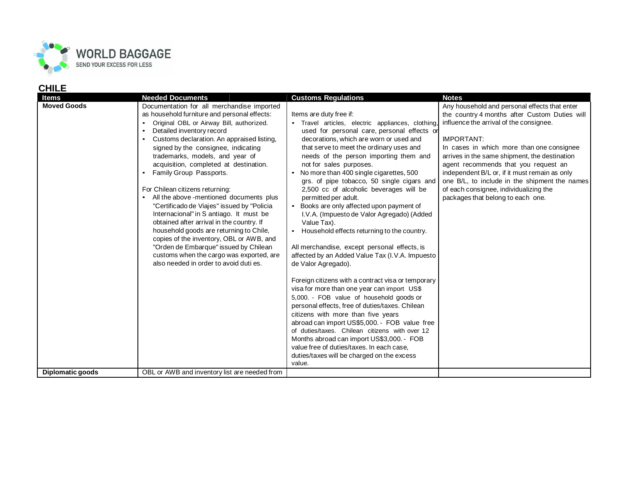

## **CHILE**

| Items              | <b>Needed Documents</b>                                                                                                                                                                                                                                                                                                                                                                                                                                                                                                                                                                                                                                                                                                                                                                                                                           | <b>Customs Regulations</b>                                                                                                                                                                                                                                                                                                                                                                                                                                                                                                                                                                                                                                                                                                                                                                                                                                                                                                                                                                                                                                                                                                                                                                                                          | <b>Notes</b>                                                                                                                                                                                                                                                                                                                                                                                                                                                                          |
|--------------------|---------------------------------------------------------------------------------------------------------------------------------------------------------------------------------------------------------------------------------------------------------------------------------------------------------------------------------------------------------------------------------------------------------------------------------------------------------------------------------------------------------------------------------------------------------------------------------------------------------------------------------------------------------------------------------------------------------------------------------------------------------------------------------------------------------------------------------------------------|-------------------------------------------------------------------------------------------------------------------------------------------------------------------------------------------------------------------------------------------------------------------------------------------------------------------------------------------------------------------------------------------------------------------------------------------------------------------------------------------------------------------------------------------------------------------------------------------------------------------------------------------------------------------------------------------------------------------------------------------------------------------------------------------------------------------------------------------------------------------------------------------------------------------------------------------------------------------------------------------------------------------------------------------------------------------------------------------------------------------------------------------------------------------------------------------------------------------------------------|---------------------------------------------------------------------------------------------------------------------------------------------------------------------------------------------------------------------------------------------------------------------------------------------------------------------------------------------------------------------------------------------------------------------------------------------------------------------------------------|
| <b>Moved Goods</b> | Documentation for all merchandise imported<br>as household furniture and personal effects:<br>Original OBL or Airway Bill, authorized.<br>$\bullet$<br>Detailed inventory record<br>$\bullet$<br>Customs declaration. An appraised listing,<br>$\bullet$<br>signed by the consignee, indicating<br>trademarks, models, and year of<br>acquisition, completed at destination.<br>Family Group Passports.<br>For Chilean citizens returning:<br>All the above -mentioned documents plus<br>"Certificado de Viajes" issued by "Policia<br>Internacional" in S antiago. It must be<br>obtained after arrival in the country. If<br>household goods are returning to Chile,<br>copies of the inventory, OBL or AWB, and<br>"Orden de Embarque" issued by Chilean<br>customs when the cargo was exported, are<br>also needed in order to avoid duti es. | Items are duty free if:<br>· Travel articles, electric appliances, clothing,<br>used for personal care, personal effects or<br>decorations, which are worn or used and<br>that serve to meet the ordinary uses and<br>needs of the person importing them and<br>not for sales purposes.<br>No more than 400 single cigarettes, 500<br>grs. of pipe tobacco, 50 single cigars and<br>2,500 cc of alcoholic beverages will be<br>permitted per adult.<br>Books are only affected upon payment of<br>I.V.A. (Impuesto de Valor Agregado) (Added<br>Value Tax).<br>Household effects returning to the country.<br>All merchandise, except personal effects, is<br>affected by an Added Value Tax (I.V.A. Impuesto<br>de Valor Agregado).<br>Foreign citizens with a contract visa or temporary<br>visa for more than one year can import US\$<br>5,000. - FOB value of household goods or<br>personal effects, free of duties/taxes. Chilean<br>citizens with more than five years<br>abroad can import US\$5,000. - FOB value free<br>of duties/taxes. Chilean citizens with over 12<br>Months abroad can import US\$3,000. - FOB<br>value free of duties/taxes. In each case,<br>duties/taxes will be charged on the excess<br>value. | Any household and personal effects that enter<br>the country 4 months after Custom Duties will<br>influence the arrival of the consignee.<br><b>IMPORTANT:</b><br>In cases in which more than one consignee<br>arrives in the same shipment, the destination<br>agent recommends that you request an<br>independent B/L or, if it must remain as only<br>one B/L, to include in the shipment the names<br>of each consignee, individualizing the<br>packages that belong to each one. |
| Diplomatic goods   | OBL or AWB and inventory list are needed from                                                                                                                                                                                                                                                                                                                                                                                                                                                                                                                                                                                                                                                                                                                                                                                                     |                                                                                                                                                                                                                                                                                                                                                                                                                                                                                                                                                                                                                                                                                                                                                                                                                                                                                                                                                                                                                                                                                                                                                                                                                                     |                                                                                                                                                                                                                                                                                                                                                                                                                                                                                       |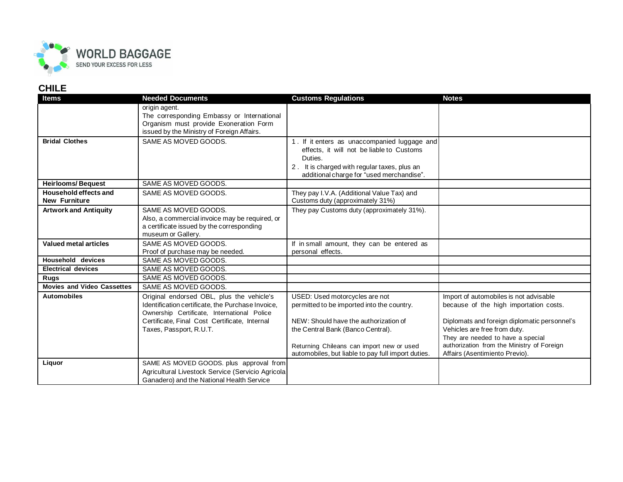

## **CHILE**

| <b>Items</b>                      | <b>Needed Documents</b>                           | <b>Customs Regulations</b>                         | <b>Notes</b>                                 |
|-----------------------------------|---------------------------------------------------|----------------------------------------------------|----------------------------------------------|
|                                   | origin agent.                                     |                                                    |                                              |
|                                   | The corresponding Embassy or International        |                                                    |                                              |
|                                   | Organism must provide Exoneration Form            |                                                    |                                              |
|                                   | issued by the Ministry of Foreign Affairs.        |                                                    |                                              |
| <b>Bridal Clothes</b>             | SAME AS MOVED GOODS.                              | 1. If it enters as unaccompanied luggage and       |                                              |
|                                   |                                                   | effects, it will not be liable to Customs          |                                              |
|                                   |                                                   | Duties.                                            |                                              |
|                                   |                                                   | 2. It is charged with regular taxes, plus an       |                                              |
|                                   |                                                   | additional charge for "used merchandise".          |                                              |
| <b>Heirlooms/Bequest</b>          | SAME AS MOVED GOODS.                              |                                                    |                                              |
| Household effects and             | SAME AS MOVED GOODS.                              | They pay I.V.A. (Additional Value Tax) and         |                                              |
| <b>New Furniture</b>              |                                                   | Customs duty (approximately 31%)                   |                                              |
| <b>Artwork and Antiquity</b>      | SAME AS MOVED GOODS.                              | They pay Customs duty (approximately 31%).         |                                              |
|                                   | Also, a commercial invoice may be required, or    |                                                    |                                              |
|                                   | a certificate issued by the corresponding         |                                                    |                                              |
|                                   | museum or Gallery.                                |                                                    |                                              |
| <b>Valued metal articles</b>      | SAME AS MOVED GOODS.                              | If in small amount, they can be entered as         |                                              |
|                                   | Proof of purchase may be needed.                  | personal effects.                                  |                                              |
| <b>Household devices</b>          | SAME AS MOVED GOODS.                              |                                                    |                                              |
| <b>Electrical devices</b>         | SAME AS MOVED GOODS.                              |                                                    |                                              |
| Rugs                              | SAME AS MOVED GOODS.                              |                                                    |                                              |
| <b>Movies and Video Cassettes</b> | SAME AS MOVED GOODS.                              |                                                    |                                              |
| <b>Automobiles</b>                | Original endorsed OBL, plus the vehicle's         | USED: Used motorcycles are not                     | Import of automobiles is not advisable       |
|                                   | Identification certificate, the Purchase Invoice, | permitted to be imported into the country.         | because of the high importation costs.       |
|                                   | Ownership Certificate, International Police       |                                                    |                                              |
|                                   | Certificate, Final Cost Certificate, Internal     | NEW: Should have the authorization of              | Diplomats and foreign diplomatic personnel's |
|                                   | Taxes, Passport, R.U.T.                           | the Central Bank (Banco Central).                  | Vehicles are free from duty.                 |
|                                   |                                                   |                                                    | They are needed to have a special            |
|                                   |                                                   | Returning Chileans can import new or used          | authorization from the Ministry of Foreign   |
|                                   |                                                   | automobiles, but liable to pay full import duties. | Affairs (Asentimiento Previo).               |
| Liquor                            | SAME AS MOVED GOODS. plus approval from           |                                                    |                                              |
|                                   | Agricultural Livestock Service (Servicio Agricola |                                                    |                                              |
|                                   | Ganadero) and the National Health Service         |                                                    |                                              |